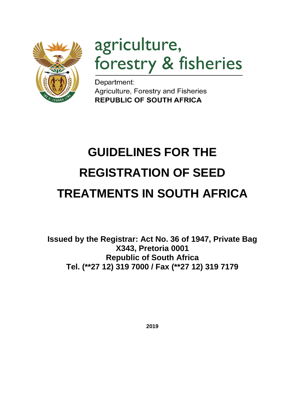

# agriculture, forestry & fisheries

Department: Agriculture, Forestry and Fisheries **REPUBLIC OF SOUTH AFRICA** 

# **GUIDELINES FOR THE REGISTRATION OF SEED TREATMENTS IN SOUTH AFRICA**

**Issued by the Registrar: Act No. 36 of 1947, Private Bag X343, Pretoria 0001 Republic of South Africa Tel. (\*\*27 12) 319 7000 / Fax (\*\*27 12) 319 7179**

**2019**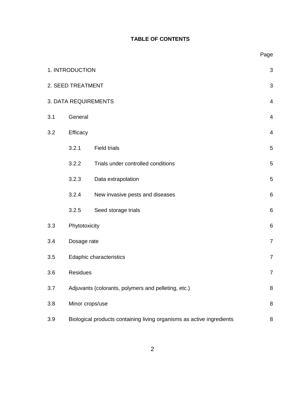# **TABLE OF CONTENTS**

|     | 1. INTRODUCTION      |                                                                       |                          |  |  |  |  |  |  |  |
|-----|----------------------|-----------------------------------------------------------------------|--------------------------|--|--|--|--|--|--|--|
|     | 2. SEED TREATMENT    |                                                                       | 3                        |  |  |  |  |  |  |  |
|     | 3. DATA REQUIREMENTS |                                                                       | $\overline{4}$           |  |  |  |  |  |  |  |
| 3.1 | General              |                                                                       | 4                        |  |  |  |  |  |  |  |
| 3.2 | Efficacy             |                                                                       | $\overline{\mathcal{A}}$ |  |  |  |  |  |  |  |
|     | 3.2.1                | <b>Field trials</b>                                                   | 5                        |  |  |  |  |  |  |  |
|     | 3.2.2                | Trials under controlled conditions                                    | 5                        |  |  |  |  |  |  |  |
|     | 3.2.3                | Data extrapolation                                                    | 5                        |  |  |  |  |  |  |  |
|     | 3.2.4                | New invasive pests and diseases                                       | 6                        |  |  |  |  |  |  |  |
|     | 3.2.5                | Seed storage trials                                                   | 6                        |  |  |  |  |  |  |  |
| 3.3 | Phytotoxicity        |                                                                       | 6                        |  |  |  |  |  |  |  |
| 3.4 | Dosage rate          |                                                                       | $\overline{7}$           |  |  |  |  |  |  |  |
| 3.5 |                      | Edaphic characteristics                                               | $\overline{7}$           |  |  |  |  |  |  |  |
| 3.6 | <b>Residues</b>      |                                                                       | $\overline{7}$           |  |  |  |  |  |  |  |
| 3.7 |                      | Adjuvants (colorants, polymers and pelleting, etc.)                   | 8                        |  |  |  |  |  |  |  |
| 3.8 | Minor crops/use      |                                                                       | 8                        |  |  |  |  |  |  |  |
| 3.9 |                      | Biological products containing living organisms as active ingredients | 8                        |  |  |  |  |  |  |  |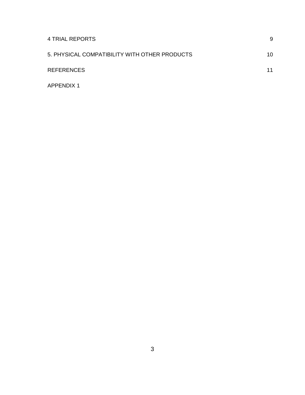| 4 TRIAL REPORTS                               | 9  |
|-----------------------------------------------|----|
| 5. PHYSICAL COMPATIBILITY WITH OTHER PRODUCTS | 10 |
| <b>REFERENCES</b>                             | 11 |
| <b>APPENDIX 1</b>                             |    |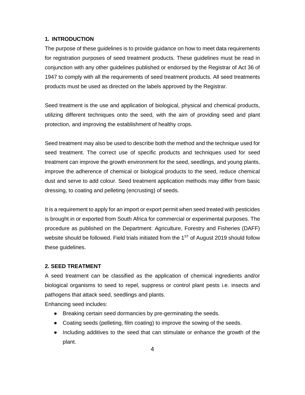#### **1. INTRODUCTION**

The purpose of these guidelines is to provide guidance on how to meet data requirements for registration purposes of seed treatment products. These guidelines must be read in conjunction with any other guidelines published or endorsed by the Registrar of Act 36 of 1947 to comply with all the requirements of seed treatment products. All seed treatments products must be used as directed on the labels approved by the Registrar.

Seed treatment is the use and application of biological, physical and chemical products, utilizing different techniques onto the seed, with the aim of providing seed and plant protection, and improving the establishment of healthy crops.

Seed treatment may also be used to describe both the method and the technique used for seed treatment. The correct use of specific products and techniques used for seed treatment can improve the growth environment for the seed, seedlings, and young plants, improve the adherence of chemical or biological products to the seed, reduce chemical dust and serve to add colour. Seed treatment application methods may differ from basic dressing, to coating and pelleting (encrusting) of seeds.

It is a requirement to apply for an import or export permit when seed treated with pesticides is brought in or exported from South Africa for commercial or experimental purposes. The procedure as published on the Department: Agriculture, Forestry and Fisheries (DAFF) website should be followed. Field trials initiated from the 1<sup>ST</sup> of August 2019 should follow these guidelines.

#### **2. SEED TREATMENT**

A seed treatment can be classified as the application of chemical ingredients and/or biological organisms to seed to repel, suppress or control plant pests i.e. insects and pathogens that attack seed, seedlings and plants.

Enhancing seed includes:

- Breaking certain seed dormancies by pre-germinating the seeds.
- Coating seeds (pelleting, film coating) to improve the sowing of the seeds.
- Including additives to the seed that can stimulate or enhance the growth of the plant.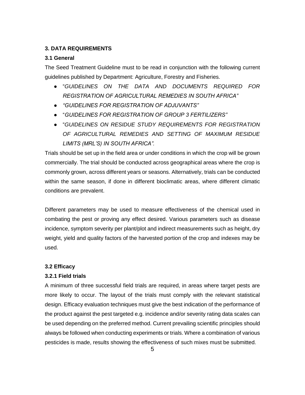### **3. DATA REQUIREMENTS**

### **3.1 General**

The Seed Treatment Guideline must to be read in conjunction with the following current guidelines published by Department: Agriculture, Forestry and Fisheries.

- "*GUIDELINES ON THE DATA AND DOCUMENTS REQUIRED FOR REGISTRATION OF AGRICULTURAL REMEDIES IN SOUTH AFRICA"*
- *"GUIDELINES FOR REGISTRATION OF ADJUVANTS"*
- "*GUIDELINES FOR REGISTRATION OF GROUP 3 FERTILIZERS"*
- "*GUIDELINES ON RESIDUE STUDY REQUIREMENTS FOR REGISTRATION OF AGRICULTURAL REMEDIES AND SETTING OF MAXIMUM RESIDUE LIMITS (MRL'S) IN SOUTH AFRICA".*

Trials should be set up in the field area or under conditions in which the crop will be grown commercially. The trial should be conducted across geographical areas where the crop is commonly grown, across different years or seasons. Alternatively, trials can be conducted within the same season, if done in different bioclimatic areas, where different climatic conditions are prevalent.

Different parameters may be used to measure effectiveness of the chemical used in combating the pest or proving any effect desired. Various parameters such as disease incidence, symptom severity per plant/plot and indirect measurements such as height, dry weight, yield and quality factors of the harvested portion of the crop and indexes may be used.

#### **3.2 Efficacy**

#### **3.2.1 Field trials**

A minimum of three successful field trials are required, in areas where target pests are more likely to occur. The layout of the trials must comply with the relevant statistical design. Efficacy evaluation techniques must give the best indication of the performance of the product against the pest targeted e.g. incidence and/or severity rating data scales can be used depending on the preferred method. Current prevailing scientific principles should always be followed when conducting experiments or trials. Where a combination of various pesticides is made, results showing the effectiveness of such mixes must be submitted.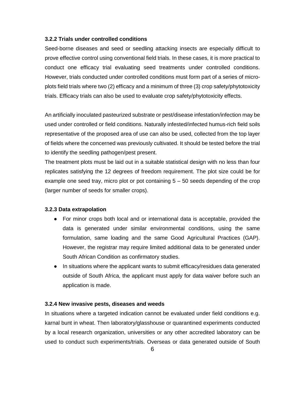#### **3.2.2 Trials under controlled conditions**

Seed-borne diseases and seed or seedling attacking insects are especially difficult to prove effective control using conventional field trials. In these cases, it is more practical to conduct one efficacy trial evaluating seed treatments under controlled conditions. However, trials conducted under controlled conditions must form part of a series of microplots field trials where two (2) efficacy and a minimum of three (3) crop safety/phytotoxicity trials. Efficacy trials can also be used to evaluate crop safety/phytotoxicity effects.

An artificially inoculated pasteurized substrate or pest/disease infestation/infection may be used under controlled or field conditions. Naturally infested/infected humus-rich field soils representative of the proposed area of use can also be used, collected from the top layer of fields where the concerned was previously cultivated. It should be tested before the trial to identify the seedling pathogen/pest present.

The treatment plots must be laid out in a suitable statistical design with no less than four replicates satisfying the 12 degrees of freedom requirement. The plot size could be for example one seed tray, micro plot or pot containing  $5 - 50$  seeds depending of the crop (larger number of seeds for smaller crops).

#### **3.2.3 Data extrapolation**

- For minor crops both local and or international data is acceptable, provided the data is generated under similar environmental conditions, using the same formulation, same loading and the same Good Agricultural Practices (GAP). However, the registrar may require limited additional data to be generated under South African Condition as confirmatory studies.
- In situations where the applicant wants to submit efficacy/residues data generated outside of South Africa, the applicant must apply for data waiver before such an application is made.

#### **3.2.4 New invasive pests, diseases and weeds**

In situations where a targeted indication cannot be evaluated under field conditions e.g. karnal bunt in wheat. Then laboratory/glasshouse or quarantined experiments conducted by a local research organization, universities or any other accredited laboratory can be used to conduct such experiments/trials. Overseas or data generated outside of South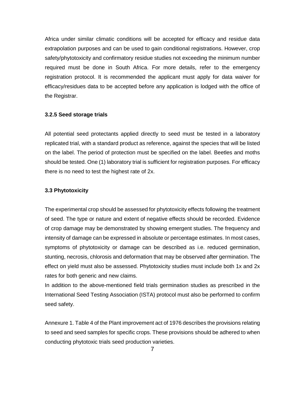Africa under similar climatic conditions will be accepted for efficacy and residue data extrapolation purposes and can be used to gain conditional registrations. However, crop safety/phytotoxicity and confirmatory residue studies not exceeding the minimum number required must be done in South Africa. For more details, refer to the emergency registration protocol. It is recommended the applicant must apply for data waiver for efficacy/residues data to be accepted before any application is lodged with the office of the Registrar.

### **3.2.5 Seed storage trials**

All potential seed protectants applied directly to seed must be tested in a laboratory replicated trial, with a standard product as reference, against the species that will be listed on the label. The period of protection must be specified on the label. Beetles and moths should be tested. One (1) laboratory trial is sufficient for registration purposes. For efficacy there is no need to test the highest rate of 2x.

# **3.3 Phytotoxicity**

The experimental crop should be assessed for phytotoxicity effects following the treatment of seed. The type or nature and extent of negative effects should be recorded. Evidence of crop damage may be demonstrated by showing emergent studies. The frequency and intensity of damage can be expressed in absolute or percentage estimates. In most cases, symptoms of phytotoxicity or damage can be described as i.e. reduced germination, stunting, necrosis, chlorosis and deformation that may be observed after germination. The effect on yield must also be assessed. Phytotoxicity studies must include both 1x and 2x rates for both generic and new claims.

In addition to the above-mentioned field trials germination studies as prescribed in the International Seed Testing Association (ISTA) protocol must also be performed to confirm seed safety.

Annexure 1. Table 4 of the Plant improvement act of 1976 describes the provisions relating to seed and seed samples for specific crops. These provisions should be adhered to when conducting phytotoxic trials seed production varieties.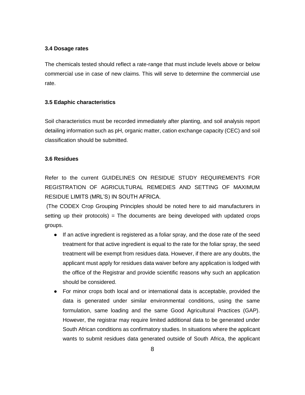#### **3.4 Dosage rates**

The chemicals tested should reflect a rate-range that must include levels above or below commercial use in case of new claims. This will serve to determine the commercial use rate.

#### **3.5 Edaphic characteristics**

Soil characteristics must be recorded immediately after planting, and soil analysis report detailing information such as pH, organic matter, cation exchange capacity (CEC) and soil classification should be submitted.

### **3.6 Residues**

Refer to the current GUIDELINES ON RESIDUE STUDY REQUIREMENTS FOR REGISTRATION OF AGRICULTURAL REMEDIES AND SETTING OF MAXIMUM RESIDUE LIMITS (MRL'S) IN SOUTH AFRICA.

(The CODEX Crop Grouping Principles should be noted here to aid manufacturers in setting up their protocols) = The documents are being developed with updated crops groups.

- If an active ingredient is registered as a foliar spray, and the dose rate of the seed treatment for that active ingredient is equal to the rate for the foliar spray, the seed treatment will be exempt from residues data. However, if there are any doubts, the applicant must apply for residues data waiver before any application is lodged with the office of the Registrar and provide scientific reasons why such an application should be considered.
- For minor crops both local and or international data is acceptable, provided the data is generated under similar environmental conditions, using the same formulation, same loading and the same Good Agricultural Practices (GAP). However, the registrar may require limited additional data to be generated under South African conditions as confirmatory studies. In situations where the applicant wants to submit residues data generated outside of South Africa, the applicant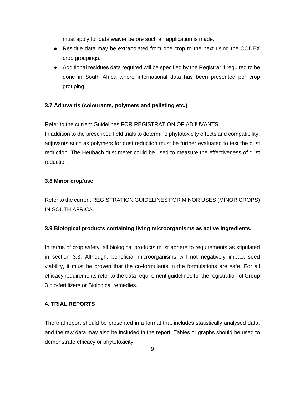must apply for data waiver before such an application is made.

- Residue data may be extrapolated from one crop to the next using the CODEX crop groupings.
- Additional residues data required will be specified by the Registrar if required to be done in South Africa where international data has been presented per crop grouping.

# **3.7 Adjuvants (colourants, polymers and pelleting etc.)**

Refer to the current Guidelines FOR REGISTRATION OF ADJUVANTS.

In addition to the prescribed field trials to determine phytotoxicity effects and compatibility, adjuvants such as polymers for dust reduction must be further evaluated to test the dust reduction. The Heubach dust meter could be used to measure the effectiveness of dust reduction.

# **3.8 Minor crop/use**

Refer to the current REGISTRATION GUIDELINES FOR MINOR USES (MINOR CROPS) IN SOUTH AFRICA.

# **3.9 Biological products containing living microorganisms as active ingredients.**

In terms of crop safety, all biological products must adhere to requirements as stipulated in section 3.3. Although, beneficial microorganisms will not negatively impact seed viability, it must be proven that the co-formulants in the formulations are safe. For all efficacy requirements refer to the data requirement guidelines for the registration of Group 3 bio-fertilizers or Biological remedies.

## **4. TRIAL REPORTS**

The trial report should be presented in a format that includes statistically analysed data, and the raw data may also be included in the report. Tables or graphs should be used to demonstrate efficacy or phytotoxicity.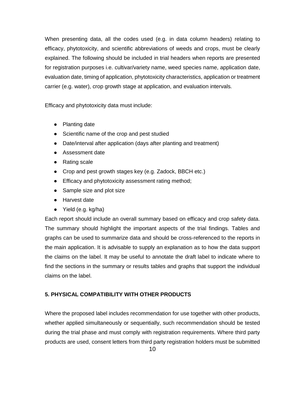When presenting data, all the codes used (e.g. in data column headers) relating to efficacy, phytotoxicity, and scientific abbreviations of weeds and crops, must be clearly explained. The following should be included in trial headers when reports are presented for registration purposes i.e. cultivar/variety name, weed species name, application date, evaluation date, timing of application, phytotoxicity characteristics, application or treatment carrier (e.g. water), crop growth stage at application, and evaluation intervals*.*

Efficacy and phytotoxicity data must include:

- Planting date
- Scientific name of the crop and pest studied
- Date/interval after application (days after planting and treatment)
- Assessment date
- Rating scale
- Crop and pest growth stages key (e.g. Zadock, BBCH etc.)
- Efficacy and phytotoxicity assessment rating method;
- Sample size and plot size
- Harvest date
- Yield (e.g. kg/ha)

Each report should include an overall summary based on efficacy and crop safety data. The summary should highlight the important aspects of the trial findings. Tables and graphs can be used to summarize data and should be cross-referenced to the reports in the main application. It is advisable to supply an explanation as to how the data support the claims on the label. It may be useful to annotate the draft label to indicate where to find the sections in the summary or results tables and graphs that support the individual claims on the label.

# **5. PHYSICAL COMPATIBILITY WITH OTHER PRODUCTS**

Where the proposed label includes recommendation for use together with other products, whether applied simultaneously or sequentially, such recommendation should be tested during the trial phase and must comply with registration requirements. Where third party products are used, consent letters from third party registration holders must be submitted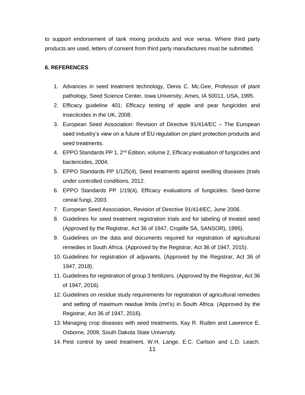to support endorsement of tank mixing products and vice versa. Where third party products are used, letters of consent from third party manufactures must be submitted.

### **6. REFERENCES**

- 1. Advances in seed treatment technology, Denis C. Mc.Gee, Professor of plant pathology, Seed Science Center, Iowa University, Ames, IA 50011, USA, 1995.
- 2. Efficacy guideline 401: Efficacy testing of apple and pear fungicides and insecticides in the UK, 2008.
- 3. European Seed Association: Revision of Directive 91/414/EC The European seed industry's view on a future of EU regulation on plant protection products and seed treatments.
- 4. EPPO Standards PP 1,  $2^{nd}$  Edition, volume 2, Efficacy evaluation of fungicides and bactericides, 2004.
- 5. EPPO Standards PP 1/125(4), Seed treatments against seedling diseases (trials under controlled conditions, 2012.
- 6. EPPO Standards PP 1/19(4), Efficacy evaluations of fungicides: Seed-borne cereal fungi, 2003.
- 7. European Seed Association, Revision of Directive 91/414/EC, June 2006.
- 8. Guidelines for seed treatment registration trials and for labeling of treated seed (Approved by the Registrar, Act 36 of 1947, Croplife SA, SANSOR), 1995).
- 9. Guidelines on the data and documents required for registration of agricultural remedies in South Africa. (Approved by the Registrar, Act 36 of 1947, 2015).
- 10. Guidelines for registration of adjuvants. (Approved by the Registrar, Act 36 of 1947, 2018).
- 11. Guidelines for registration of group 3 fertilizers. (Approved by the Registrar, Act 36 of 1947, 2016).
- 12. Guidelines on residue study requirements for registration of agricultural remedies and setting of maximum residue limits (mrl's) in South Africa. (Approved by the Registrar, Act 36 of 1947, 2016).
- 13. Managing crop diseases with seed treatments, Kay R. Ruden and Lawrence E. Osborne, 2009, South Dakota State University.
- 14. Pest control by seed treatment, W.H. Lange, E.C. Carlson and L.D. Leach,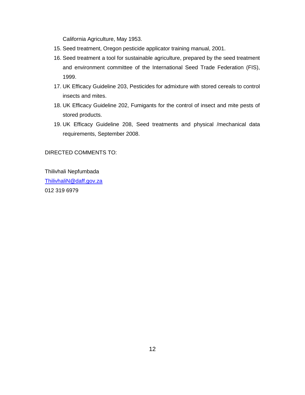California Agriculture, May 1953.

- 15. Seed treatment, Oregon pesticide applicator training manual, 2001.
- 16. Seed treatment a tool for sustainable agriculture, prepared by the seed treatment and environment committee of the International Seed Trade Federation (FIS), 1999.
- 17. UK Efficacy Guideline 203, Pesticides for admixture with stored cereals to control insects and mites.
- 18. UK Efficacy Guideline 202, Fumigants for the control of insect and mite pests of stored products.
- 19. UK Efficacy Guideline 208, Seed treatments and physical /mechanical data requirements, September 2008.

DIRECTED COMMENTS TO:

Thilivhali Nepfumbada [ThilivhaliN@daff.gov.za](mailto:ThilivhaliN@daff.gov.za) 012 319 6979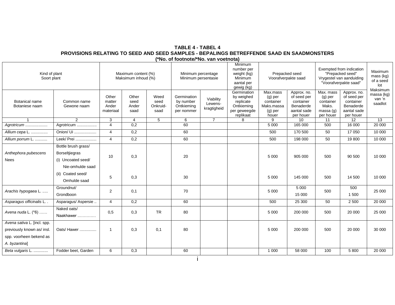**TABLE 4 - TABEL 4 PROVISIONS RELATING TO SEED AND SEED SAMPLES - BEPALINGS BETREFFENDE SAAD EN SAADMONSTERS (\*No. of footnote/\*No. van voetnota)**

| Kind of plant<br>Soort plant                                                                          |                                                                                 | Maximum content (%)<br>Maksimum inhoud (%) |                                |                                  | Minimum percentage<br>Minimum persentasie            |                                     | Minimum<br>number per<br>weight (kg)<br>Minimum<br>aantal per<br>gewig (kg)       | Voorafverpakte saad                                                    | Prepacked seed                                                                   | Exempted from indication<br>"Prepacked seed"<br>Vrygestel van aanduiding<br>"Voorafverpakte saad" | Maximum<br>mass (kg)<br>of a seed<br>lot<br>Maksimum                             |                                 |
|-------------------------------------------------------------------------------------------------------|---------------------------------------------------------------------------------|--------------------------------------------|--------------------------------|----------------------------------|------------------------------------------------------|-------------------------------------|-----------------------------------------------------------------------------------|------------------------------------------------------------------------|----------------------------------------------------------------------------------|---------------------------------------------------------------------------------------------------|----------------------------------------------------------------------------------|---------------------------------|
| <b>Botanical name</b><br>Botaniese naam                                                               | Common name<br>Gewone naam                                                      | Other<br>matter<br>Ander<br>materiaal      | Other<br>seed<br>Ander<br>saad | Weed<br>seed<br>Onkruid-<br>saad | Germination<br>by number<br>Ontkieming<br>per nommer | Viability<br>Lewens-<br>kragtigheid | Germination<br>by weighed<br>replicate<br>Ontkieming<br>per geweegde<br>replikaat | Max.mass<br>$(g)$ per<br>container<br>Maks.massa<br>$(g)$ per<br>houer | Approx. no.<br>of seed per<br>container<br>Benaderde<br>aantal sade<br>per houer | Max. mass<br>$(g)$ per<br>container<br>Maks.<br>massa $(q)$<br>per houer                          | Approx. no.<br>of seed per<br>container<br>Benaderde<br>aantal sade<br>per houer | massa (kg)<br>van 'n<br>saadlot |
|                                                                                                       | $\mathcal{P}$                                                                   | 3                                          | $\overline{4}$                 | 5                                | 6                                                    | $\overline{7}$                      | 8                                                                                 | 9                                                                      | 10                                                                               | 11                                                                                                | 12                                                                               | 13                              |
| Agrotricum                                                                                            | Agrotricum                                                                      | $\overline{4}$                             | 0,2                            |                                  | 60                                                   |                                     |                                                                                   | 5 0 0 0                                                                | 165 000                                                                          | 500                                                                                               | 16 000                                                                           | 20 000                          |
| Allium cepa L.                                                                                        | Onion/ Ui                                                                       | $\overline{4}$                             | $\overline{0,2}$               |                                  | 60                                                   |                                     |                                                                                   | 500                                                                    | 170 500                                                                          | 50                                                                                                | 17 050                                                                           | 10 000                          |
| Allium porrum L.                                                                                      | Leek/ Prei                                                                      | $\overline{4}$                             | 0,2                            |                                  | 60                                                   |                                     |                                                                                   | 500                                                                    | 198 000                                                                          | 50                                                                                                | 19800                                                                            | 10 000                          |
| Anthephora pubescens<br><b>Nees</b>                                                                   | Bottle brush grass/<br>Borseltjiegras<br>(i) Uncoated seed/<br>Nie-omhulde saad | 10                                         | 0,3                            |                                  | 20                                                   |                                     |                                                                                   | 5 0 0 0                                                                | 905 000                                                                          | 500                                                                                               | 90 500                                                                           | 10 000                          |
|                                                                                                       | (ii) Coated seed/<br>Omhulde saad                                               | 5                                          | 0,3                            |                                  | 30                                                   |                                     |                                                                                   | 5 0 0 0                                                                | 145 000                                                                          | 500                                                                                               | 14 500                                                                           | 10 000                          |
| Arachis hypogaea L.                                                                                   | Groundnut/<br>Grondboon                                                         | 2                                          | 0,1                            |                                  | 70                                                   |                                     |                                                                                   | 5 0 0 0                                                                | 5 0 0 0<br>15 000                                                                | 500                                                                                               | 500<br>1 500                                                                     | 25 000                          |
| Asparagus officinalis L. .                                                                            | Asparagus/ Aspersie                                                             | $\overline{4}$                             | 0,2                            |                                  | 60                                                   |                                     |                                                                                   | 500                                                                    | 25 300                                                                           | 50                                                                                                | 2 500                                                                            | 20 000                          |
| Avena nuda L. (*6)                                                                                    | Naked oats/<br>Naakhawer                                                        | 0,5                                        | 0,3                            | <b>TR</b>                        | 80                                                   |                                     |                                                                                   | 5 0 0 0                                                                | 200 000                                                                          | 500                                                                                               | 20 000                                                                           | 25 000                          |
| Avena sativa L. [incl. spp.<br>previously known as/ insl.<br>spp. voorheen bekend as<br>A. byzantina] | Oats/ Hawer                                                                     | $\overline{\mathbf{1}}$                    | 0,3                            | 0,1                              | 80                                                   |                                     |                                                                                   | 5 0 0 0                                                                | 200 000                                                                          | 500                                                                                               | 20 000                                                                           | 30 000                          |
| Beta vulgaris L.                                                                                      | Fodder beet, Garden                                                             | 6                                          | 0,3                            |                                  | 60                                                   |                                     |                                                                                   | 1 0 0 0                                                                | 58 000                                                                           | 100                                                                                               | 5 800                                                                            | 20 000                          |
|                                                                                                       |                                                                                 |                                            |                                |                                  |                                                      |                                     |                                                                                   |                                                                        |                                                                                  |                                                                                                   |                                                                                  |                                 |

i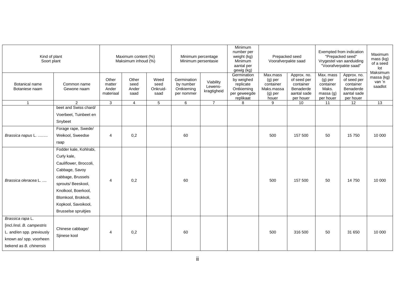| Kind of plant<br>Soort plant     |                             | Maximum content (%)<br>Maksimum inhoud (%) |                                |                                  | Minimum percentage<br>Minimum persentasie            |                                     | Minimum<br>number per<br>weight (kg)<br>Minimum<br>aantal per<br>gewig (kg)       | Prepacked seed<br>Voorafverpakte saad                                  |                                                                                  | Exempted from indication<br>"Prepacked seed"<br>Vrygestel van aanduiding<br>"Voorafverpakte saad" | Maximum<br>mass (kg)<br>of a seed<br>lot<br>Maksimum                             |                                 |
|----------------------------------|-----------------------------|--------------------------------------------|--------------------------------|----------------------------------|------------------------------------------------------|-------------------------------------|-----------------------------------------------------------------------------------|------------------------------------------------------------------------|----------------------------------------------------------------------------------|---------------------------------------------------------------------------------------------------|----------------------------------------------------------------------------------|---------------------------------|
| Botanical name<br>Botaniese naam | Common name<br>Gewone naam  | Other<br>matter<br>Ander<br>materiaal      | Other<br>seed<br>Ander<br>saad | Weed<br>seed<br>Onkruid-<br>saad | Germination<br>by number<br>Ontkieming<br>per nommer | Viability<br>Lewens-<br>kragtigheid | Germination<br>by weighed<br>replicate<br>Ontkieming<br>per geweegde<br>replikaat | Max.mass<br>$(g)$ per<br>container<br>Maks.massa<br>$(g)$ per<br>houer | Approx. no.<br>of seed per<br>container<br>Benaderde<br>aantal sade<br>per houer | Max. mass<br>$(g)$ per<br>container<br>Maks.<br>massa(q)<br>per houer                             | Approx. no.<br>of seed per<br>container<br>Benaderde<br>aantal sade<br>per houer | massa (kg)<br>van 'n<br>saadlot |
| $\overline{1}$                   | $\overline{2}$              | 3                                          | $\overline{4}$                 | 5                                | 6                                                    | $\overline{7}$                      | 8                                                                                 | 9                                                                      | 10                                                                               | 11                                                                                                | $\overline{12}$                                                                  | $\overline{13}$                 |
|                                  | beet and Swiss chard/       |                                            |                                |                                  |                                                      |                                     |                                                                                   |                                                                        |                                                                                  |                                                                                                   |                                                                                  |                                 |
|                                  | Voerbeet, Tuinbeet en       |                                            |                                |                                  |                                                      |                                     |                                                                                   |                                                                        |                                                                                  |                                                                                                   |                                                                                  |                                 |
|                                  | Snybeet                     |                                            |                                |                                  |                                                      |                                     |                                                                                   |                                                                        |                                                                                  |                                                                                                   |                                                                                  |                                 |
|                                  | Forage rape, Swede/         |                                            |                                |                                  |                                                      |                                     |                                                                                   |                                                                        |                                                                                  |                                                                                                   |                                                                                  |                                 |
| Brassica napus L.                | Weikool, Sweedse            | $\overline{4}$                             | 0,2                            |                                  | 60                                                   |                                     |                                                                                   | 500                                                                    | 157 500                                                                          | 50                                                                                                | 15750                                                                            | 10 000                          |
|                                  | raap                        |                                            |                                |                                  |                                                      |                                     |                                                                                   |                                                                        |                                                                                  |                                                                                                   |                                                                                  |                                 |
|                                  | Fodder kale, Kohlrabi,      |                                            |                                |                                  |                                                      |                                     |                                                                                   |                                                                        |                                                                                  |                                                                                                   |                                                                                  |                                 |
|                                  | Curly kale,                 |                                            |                                |                                  |                                                      |                                     |                                                                                   |                                                                        |                                                                                  |                                                                                                   |                                                                                  |                                 |
|                                  | Cauliflower, Broccoli,      |                                            |                                |                                  |                                                      |                                     |                                                                                   |                                                                        |                                                                                  |                                                                                                   |                                                                                  |                                 |
|                                  | Cabbage, Savoy              |                                            |                                |                                  |                                                      |                                     |                                                                                   |                                                                        |                                                                                  |                                                                                                   |                                                                                  |                                 |
|                                  | cabbage, Brussels           |                                            |                                |                                  |                                                      |                                     |                                                                                   |                                                                        |                                                                                  |                                                                                                   |                                                                                  |                                 |
| Brassica oleracea L.             | sprouts/ Beeskool,          | 4                                          | 0,2                            |                                  | 60                                                   |                                     |                                                                                   | 500                                                                    | 157 500                                                                          | 50                                                                                                | 14750                                                                            | 10 000                          |
|                                  | Knolkool, Boerkool,         |                                            |                                |                                  |                                                      |                                     |                                                                                   |                                                                        |                                                                                  |                                                                                                   |                                                                                  |                                 |
|                                  | Blomkool, Brokkoli,         |                                            |                                |                                  |                                                      |                                     |                                                                                   |                                                                        |                                                                                  |                                                                                                   |                                                                                  |                                 |
|                                  | Kopkool, Savoikool,         |                                            |                                |                                  |                                                      |                                     |                                                                                   |                                                                        |                                                                                  |                                                                                                   |                                                                                  |                                 |
|                                  | <b>Brusselse spruitjies</b> |                                            |                                |                                  |                                                      |                                     |                                                                                   |                                                                        |                                                                                  |                                                                                                   |                                                                                  |                                 |
| Brassica rapa L.                 |                             |                                            |                                |                                  |                                                      |                                     |                                                                                   |                                                                        |                                                                                  |                                                                                                   |                                                                                  |                                 |
| [incl./insl. B. campestris       |                             |                                            |                                |                                  |                                                      |                                     |                                                                                   |                                                                        |                                                                                  |                                                                                                   |                                                                                  |                                 |
| L. and/en spp. previously        | Chinese cabbage/            | $\overline{4}$                             | 0,2                            |                                  | 60                                                   |                                     |                                                                                   | 500                                                                    | 316 500                                                                          | 50                                                                                                | 31 650                                                                           | 10 000                          |
| known as/ spp. voorheen          | Sjinese kool                |                                            |                                |                                  |                                                      |                                     |                                                                                   |                                                                        |                                                                                  |                                                                                                   |                                                                                  |                                 |
| bekend as B. chinensis           |                             |                                            |                                |                                  |                                                      |                                     |                                                                                   |                                                                        |                                                                                  |                                                                                                   |                                                                                  |                                 |
|                                  |                             |                                            |                                |                                  |                                                      |                                     |                                                                                   |                                                                        |                                                                                  |                                                                                                   |                                                                                  |                                 |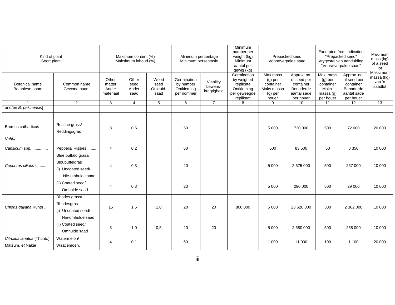| Kind of plant<br>Soort plant                   |                                                                                 | Maximum content (%)<br>Maksimum inhoud (%) |                                |                                  | Minimum percentage<br>Minimum persentasie            |                                     | Minimum<br>number per<br>weight (kg)<br>Minimum<br>aantal per<br>gewig (kg)       | Prepacked seed<br>Voorafverpakte saad                                |                                                                                  | Exempted from indication<br>"Prepacked seed"<br>Vrygestel van aanduiding<br>"Voorafverpakte saad" | Maximum<br>mass (kg)<br>of a seed<br>lot<br>Maksimum                             |                                 |
|------------------------------------------------|---------------------------------------------------------------------------------|--------------------------------------------|--------------------------------|----------------------------------|------------------------------------------------------|-------------------------------------|-----------------------------------------------------------------------------------|----------------------------------------------------------------------|----------------------------------------------------------------------------------|---------------------------------------------------------------------------------------------------|----------------------------------------------------------------------------------|---------------------------------|
| Botanical name<br>Botaniese naam               | Common name<br>Gewone naam                                                      | Other<br>matter<br>Ander<br>materiaal      | Other<br>seed<br>Ander<br>saad | Weed<br>seed<br>Onkruid-<br>saad | Germination<br>by number<br>Ontkieming<br>per nommer | Viability<br>Lewens-<br>kragtigheid | Germination<br>by weighed<br>replicate<br>Ontkieming<br>per geweegde<br>replikaat | Max.mass<br>$(g)$ per<br>container<br>Maks.massa<br>(g) per<br>houer | Approx. no.<br>of seed per<br>container<br>Benaderde<br>aantal sade<br>per houer | Max. mass<br>$(g)$ per<br>container<br>Maks.<br>massa(g)<br>per houer                             | Approx. no.<br>of seed per<br>container<br>Benaderde<br>aantal sade<br>per houer | massa (kg)<br>van 'n<br>saadlot |
|                                                | $\overline{2}$                                                                  | 3                                          | $\overline{4}$                 | 5                                | 6                                                    | $\overline{7}$                      | 8                                                                                 | 9                                                                    | 10                                                                               | 11                                                                                                | 12                                                                               | $\overline{13}$                 |
| and/en B. pekinensis]                          |                                                                                 |                                            |                                |                                  |                                                      |                                     |                                                                                   |                                                                      |                                                                                  |                                                                                                   |                                                                                  |                                 |
| Bromus catharticus<br>Vahl.                    | Rescue grass/<br>Reddingsgras                                                   | 8                                          | 0,5                            |                                  | 50                                                   |                                     |                                                                                   | 5 0 0 0                                                              | 720 000                                                                          | 500                                                                                               | 72 000                                                                           | 20 000                          |
|                                                |                                                                                 |                                            |                                |                                  |                                                      |                                     |                                                                                   |                                                                      |                                                                                  |                                                                                                   |                                                                                  |                                 |
| Capsicum spp.                                  | Peppers/ Rissies                                                                | $\overline{4}$                             | 0,2                            |                                  | 60                                                   |                                     |                                                                                   | 500                                                                  | 83 500                                                                           | 50                                                                                                | 8 3 5 0                                                                          | 10 000                          |
| Cenchrus ciliaris L.                           | Blue buffalo grass/<br>Bloubuffelgras<br>(i) Uncoated seed/<br>Nie-omhulde saad | $\overline{4}$                             | 0,3                            |                                  | 20                                                   |                                     |                                                                                   | 5 0 0 0                                                              | 2 675 000                                                                        | 500                                                                                               | 267 000                                                                          | 10 000                          |
|                                                | (ii) Coated seed/<br>Omhulde saad                                               | 4                                          | 0,3                            |                                  | 20                                                   |                                     |                                                                                   | 5 0 0 0                                                              | 290 000                                                                          | 500                                                                                               | 29 000                                                                           | 10 000                          |
| Chloris gayana Kunth                           | Rhodes grass/<br>Rhodesgras<br>(i) Uncoated seed/<br>Nie-omhulde saad           | 15                                         | 1,5                            | 1,0                              | 20                                                   | 20                                  | 800 000                                                                           | 5 0 0 0                                                              | 23 620 000                                                                       | 500                                                                                               | 2 362 000                                                                        | 10 000                          |
|                                                | (ii) Coated seed/<br>Omhulde saad                                               | $\mathbf 5$                                | 1,0                            | 0,5                              | 20                                                   | 20                                  |                                                                                   | 5 0 0 0                                                              | 2 580 000                                                                        | 500                                                                                               | 258 000                                                                          | 10 000                          |
| Citrullus lanatus (Thunb.)<br>Matsum. et Nakai | Watermelon/<br>Waatlemoen,                                                      | $\overline{4}$                             | 0,1                            |                                  | 60                                                   |                                     |                                                                                   | 1 0 0 0                                                              | 11 000                                                                           | 100                                                                                               | 1 100                                                                            | 20 000                          |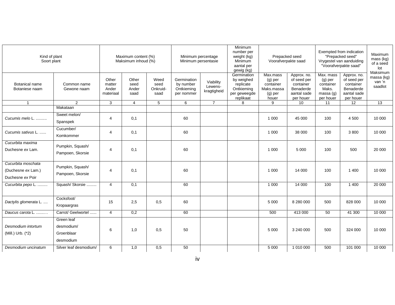| Kind of plant<br>Soort plant                                 |                                                     | Maximum content (%)<br>Maksimum inhoud (%) |                                |                                  | Minimum percentage<br>Minimum persentasie            |                                     | Minimum<br>number per<br>weight (kg)<br>Minimum<br>aantal per<br>gewig (kg)       | Prepacked seed<br>Voorafverpakte saad                                  |                                                                                  |                                                                        | Exempted from indication<br>"Prepacked seed"<br>Vrygestel van aanduiding<br>"Voorafverpakte saad" |                                             |  |
|--------------------------------------------------------------|-----------------------------------------------------|--------------------------------------------|--------------------------------|----------------------------------|------------------------------------------------------|-------------------------------------|-----------------------------------------------------------------------------------|------------------------------------------------------------------------|----------------------------------------------------------------------------------|------------------------------------------------------------------------|---------------------------------------------------------------------------------------------------|---------------------------------------------|--|
| <b>Botanical name</b><br>Botaniese naam                      | Common name<br>Gewone naam                          | Other<br>matter<br>Ander<br>materiaal      | Other<br>seed<br>Ander<br>saad | Weed<br>seed<br>Onkruid-<br>saad | Germination<br>by number<br>Ontkieming<br>per nommer | Viability<br>Lewens-<br>kragtigheid | Germination<br>by weighed<br>replicate<br>Ontkieming<br>per geweegde<br>replikaat | Max.mass<br>$(g)$ per<br>container<br>Maks.massa<br>$(g)$ per<br>houer | Approx. no.<br>of seed per<br>container<br>Benaderde<br>aantal sade<br>per houer | Max. mass<br>$(g)$ per<br>container<br>Maks.<br>massa (g)<br>per houer | Approx. no.<br>of seed per<br>container<br>Benaderde<br>aantal sade<br>per houer                  | Maksimum<br>massa (kg)<br>van 'n<br>saadlot |  |
| $\mathbf{1}$                                                 | 2                                                   | 3                                          | $\overline{4}$                 | $\overline{5}$                   | 6                                                    | $\overline{7}$                      | 8                                                                                 | 9                                                                      | $\overline{10}$                                                                  | 11                                                                     | $\overline{12}$                                                                                   | $\overline{13}$                             |  |
| Cucumis melo L.                                              | Makataan<br>Sweet melon/<br>Spanspek                | 4                                          | 0,1                            |                                  | 60                                                   |                                     |                                                                                   | 1 0 0 0                                                                | 45 000                                                                           | 100                                                                    | 4 500                                                                                             | 10 000                                      |  |
| Cucumis sativus L.                                           | Cucumber/<br>Komkommer                              | $\overline{4}$                             | 0,1                            |                                  | 60                                                   |                                     |                                                                                   | 1 0 0 0                                                                | 38 000                                                                           | 100                                                                    | 3800                                                                                              | 10 000                                      |  |
| Cucurbita maxima<br>Duchesne ex Lam.                         | Pumpkin, Squash/<br>Pampoen, Skorsie                | 4                                          | 0,1                            |                                  | 60                                                   |                                     |                                                                                   | 1 0 0 0                                                                | 5 0 0 0                                                                          | 100                                                                    | 500                                                                                               | 20 000                                      |  |
| Cucurbita moschata<br>(Duchesne ex Lam.)<br>Duchesne ex Poir | Pumpkin, Squash/<br>Pampoen, Skorsie                | 4                                          | 0,1                            |                                  | 60                                                   |                                     |                                                                                   | 1 0 0 0                                                                | 14 000                                                                           | 100                                                                    | 1 400                                                                                             | 10 000                                      |  |
| Cucurbita pepo L.                                            | Squash/ Skorsie                                     | 4                                          | 0,1                            |                                  | 60                                                   |                                     |                                                                                   | 1 0 0 0                                                                | 14 000                                                                           | 100                                                                    | 1 400                                                                                             | 20 000                                      |  |
| Dactylis glomerata L.                                        | Cocksfoot/<br>Kropaargras                           | 15                                         | 2,5                            | 0,5                              | 60                                                   |                                     |                                                                                   | 5 0 0 0                                                                | 8 280 000                                                                        | 500                                                                    | 828 000                                                                                           | 10 000                                      |  |
| Daucus carota L.                                             | Carrot/ Geelwortel                                  | $\overline{4}$                             | 0,2                            |                                  | 60                                                   |                                     |                                                                                   | 500                                                                    | 413 000                                                                          | 50                                                                     | 41 300                                                                                            | 10 000                                      |  |
| Desmodium intortum<br>(Mill.) Urb. (*2)                      | Green leaf<br>desmodium/<br>Groenblaar<br>desmodium | 6                                          | 1,0                            | 0,5                              | 50                                                   |                                     |                                                                                   | 5 0 0 0                                                                | 3 240 000                                                                        | 500                                                                    | 324 000                                                                                           | 10 000                                      |  |
| Desmodium uncinatum                                          | Silver leaf desmodium/                              | 6                                          | 1,0                            | 0,5                              | 50                                                   |                                     |                                                                                   | 5 0 0 0                                                                | 1 010 000                                                                        | 500                                                                    | 101 000                                                                                           | 10 000                                      |  |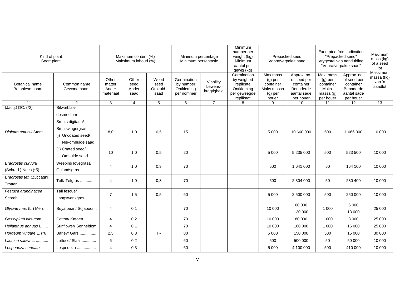| Kind of plant<br>Soort plant              |                                                                               | Maximum content (%)<br>Maksimum inhoud (%) |                                |                                  | Minimum percentage<br>Minimum persentasie            |                                     | Minimum<br>number per<br>weight (kg)<br>Minimum<br>aantal per<br>gewig (kg)       | Prepacked seed<br>Voorafverpakte saad                                  |                                                                                  | Exempted from indication<br>"Prepacked seed"<br>Vrygestel van aanduiding<br>"Voorafverpakte saad" | Maximum<br>mass (kg)<br>of a seed<br>lot<br>Maksimum                             |                                 |
|-------------------------------------------|-------------------------------------------------------------------------------|--------------------------------------------|--------------------------------|----------------------------------|------------------------------------------------------|-------------------------------------|-----------------------------------------------------------------------------------|------------------------------------------------------------------------|----------------------------------------------------------------------------------|---------------------------------------------------------------------------------------------------|----------------------------------------------------------------------------------|---------------------------------|
| <b>Botanical name</b><br>Botaniese naam   | Common name<br>Gewone naam                                                    | Other<br>matter<br>Ander<br>materiaal      | Other<br>seed<br>Ander<br>saad | Weed<br>seed<br>Onkruid-<br>saad | Germination<br>by number<br>Ontkieming<br>per nommer | Viability<br>Lewens-<br>kragtigheid | Germination<br>by weighed<br>replicate<br>Ontkieming<br>per geweegde<br>replikaat | Max.mass<br>$(g)$ per<br>container<br>Maks.massa<br>$(g)$ per<br>houer | Approx. no.<br>of seed per<br>container<br>Benaderde<br>aantal sade<br>per houer | Max. mass<br>$(g)$ per<br>container<br>Maks.<br>massa $(q)$<br>per houer                          | Approx. no.<br>of seed per<br>container<br>Benaderde<br>aantal sade<br>per houer | massa (kg)<br>van 'n<br>saadlot |
|                                           | 2                                                                             | 3                                          | $\overline{4}$                 | 5                                | 6                                                    | $\overline{7}$                      | 8                                                                                 | 9                                                                      | 10 <sup>°</sup>                                                                  | 11                                                                                                | 12                                                                               | 13                              |
| (Jacq.) DC. (*2)                          | Silwerblaar<br>desmodium                                                      |                                            |                                |                                  |                                                      |                                     |                                                                                   |                                                                        |                                                                                  |                                                                                                   |                                                                                  |                                 |
| Digitara smutsii Stent                    | Smuts digitaria/<br>Smutsvingergras<br>(i) Uncoated seed/<br>Nie-omhulde saad | 8,0                                        | 1,0                            | 0,5                              | 15                                                   |                                     |                                                                                   | 5 0 0 0                                                                | 10 660 000                                                                       | 500                                                                                               | 1 066 000                                                                        | 10 000                          |
|                                           | (ii) Coated seed/<br>Omhulde saad                                             | 10                                         | 1.0                            | 0,5                              | 20                                                   |                                     |                                                                                   | 5 0 0 0                                                                | 5 235 000                                                                        | 500                                                                                               | 523 500                                                                          | 10 000                          |
| Eragrostis curvula<br>(Schrad.) Nees (*5) | Weeping lovegrass/<br>Oulandsgras                                             | $\overline{4}$                             | 1,0                            | 0,3                              | 70                                                   |                                     |                                                                                   | 500                                                                    | 1 641 000                                                                        | 50                                                                                                | 164 100                                                                          | 10 000                          |
| Eragrostis tef. (Zuccagni)<br>Trotter     | Teff/Tefgras                                                                  | $\overline{4}$                             | 1,0                            | 0,3                              | 70                                                   |                                     |                                                                                   | 500                                                                    | 2 304 000                                                                        | 50                                                                                                | 230 400                                                                          | 10 000                          |
| Festuca arundinacea<br>Schreb.            | Tall fescue/<br>Langswenkgras                                                 | $\overline{7}$                             | 1,5                            | 0,5                              | 60                                                   |                                     |                                                                                   | 5 0 0 0                                                                | 2 500 000                                                                        | 500                                                                                               | 250 000                                                                          | 10 000                          |
| Glycine max (L.) Merr.                    | Soya bean/ Sojaboon.                                                          | $\overline{4}$                             | 0,1                            |                                  | 70                                                   |                                     |                                                                                   | 10 000                                                                 | 60 000<br>130 000                                                                | 1 0 0 0                                                                                           | 6 0 0 0<br>13 000                                                                | 25 000                          |
| Gossypium hirsutum L                      | Cotton/ Katoen                                                                | $\overline{4}$                             | $\overline{0,2}$               |                                  | $\overline{70}$                                      |                                     |                                                                                   | 10 000                                                                 | 80 000                                                                           | 1 0 0 0                                                                                           | 8 0 0 0                                                                          | 25 000                          |
| Helianthus annuus L.                      | Sunflower/ Sonneblom                                                          | $\overline{4}$                             | 0,1                            |                                  | $\overline{70}$                                      |                                     |                                                                                   | 10 000                                                                 | 160 000                                                                          | 1 0 0 0                                                                                           | 16 000                                                                           | 25 000                          |
| Hordeum vulgare L. (*6)                   | Barley/ Gars                                                                  | 2,5                                        | 0,3                            | $\overline{\text{TR}}$           | 80                                                   |                                     |                                                                                   | 5 0 0 0                                                                | 150 000                                                                          | 500                                                                                               | 15 000                                                                           | 30 000                          |
| Lactuca sativa L.                         | Lettuce/ Slaai                                                                | 6                                          | 0,2                            |                                  | 60                                                   |                                     |                                                                                   | 500                                                                    | 500 000                                                                          | 50                                                                                                | 50 000                                                                           | 10 000                          |
| Lespedeza cuneata                         | Lespedeza                                                                     | $\overline{4}$                             | 0,3                            |                                  | 60                                                   |                                     |                                                                                   | 5 0 0 0                                                                | 4 100 000                                                                        | 500                                                                                               | 410 000                                                                          | 10 000                          |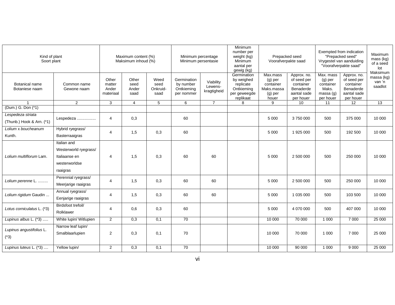| Kind of plant<br>Soort plant                                         |                                                                                    | Maximum content (%)<br>Maksimum inhoud (%) |                                |                                  | Minimum percentage<br>Minimum persentasie            |                                     | Minimum<br>number per<br>Prepacked seed<br>weight (kg)<br>Minimum<br>Voorafverpakte saad<br>aantal per<br>gewig (kg) |                                                                      | Exempted from indication<br>"Prepacked seed"<br>Vrygestel van aanduiding<br>"Voorafverpakte saad" |                                                                       | Maximum<br>mass (kg)<br>of a seed<br>lot<br>Maksimum                             |                                 |
|----------------------------------------------------------------------|------------------------------------------------------------------------------------|--------------------------------------------|--------------------------------|----------------------------------|------------------------------------------------------|-------------------------------------|----------------------------------------------------------------------------------------------------------------------|----------------------------------------------------------------------|---------------------------------------------------------------------------------------------------|-----------------------------------------------------------------------|----------------------------------------------------------------------------------|---------------------------------|
| <b>Botanical name</b><br>Botaniese naam                              | Common name<br>Gewone naam                                                         | Other<br>matter<br>Ander<br>materiaal      | Other<br>seed<br>Ander<br>saad | Weed<br>seed<br>Onkruid-<br>saad | Germination<br>by number<br>Ontkieming<br>per nommer | Viability<br>Lewens-<br>kragtigheid | Germination<br>by weighed<br>replicate<br>Ontkieming<br>per geweegde<br>replikaat                                    | Max.mass<br>$(g)$ per<br>container<br>Maks.massa<br>(g) per<br>houer | Approx. no.<br>of seed per<br>container<br>Benaderde<br>aantal sade<br>per houer                  | Max. mass<br>$(g)$ per<br>container<br>Maks.<br>massa(g)<br>per houer | Approx. no.<br>of seed per<br>container<br>Benaderde<br>aantal sade<br>per houer | massa (kg)<br>van 'n<br>saadlot |
|                                                                      | $\overline{2}$                                                                     | 3                                          | $\overline{4}$                 | 5                                | 6                                                    | $\overline{7}$                      | 8                                                                                                                    | 9                                                                    | 10                                                                                                | 11                                                                    | 12                                                                               | $\overline{13}$                 |
| (Dum.) G. Don (*1)<br>Lespedeza striata<br>(Thunb.) Hook & Arn. (*1) | Lespedeza                                                                          | $\overline{4}$                             | 0,3                            |                                  | 60                                                   |                                     |                                                                                                                      | 5 0 0 0                                                              | 3750000                                                                                           | 500                                                                   | 375 000                                                                          | 10 000                          |
| Lolium x boucheanum<br>Kunth.                                        | Hybrid ryegrass/<br>Basterraaigras                                                 | $\overline{4}$                             | 1,5                            | 0,3                              | 60                                                   |                                     |                                                                                                                      | 5 0 0 0                                                              | 1 925 000                                                                                         | 500                                                                   | 192 500                                                                          | 10 000                          |
| Lolium multiflorum Lam.                                              | Italian and<br>Westerworld ryegrass/<br>Italiaanse en<br>westerworldse<br>raaigras | $\overline{4}$                             | 1,5                            | 0,3                              | 60                                                   | 60                                  |                                                                                                                      | 5 0 0 0                                                              | 2 500 000                                                                                         | 500                                                                   | 250 000                                                                          | 10 000                          |
| Lolium perenne L.                                                    | Perennial ryegrass/<br>Meerjarige raaigras                                         | $\overline{4}$                             | 1,5                            | 0,3                              | 60                                                   | 60                                  |                                                                                                                      | 5 0 0 0                                                              | 2 500 000                                                                                         | 500                                                                   | 250 000                                                                          | 10 000                          |
| Lolium rigidum Gaudin                                                | Annual ryegrass/<br>Eenjarige raaigras                                             | $\overline{4}$                             | 1,5                            | 0,3                              | 60                                                   | 60                                  |                                                                                                                      | 5 0 0 0                                                              | 1 035 000                                                                                         | 500                                                                   | 103 500                                                                          | 10 000                          |
| Lotus corniculatus L. (*3)                                           | Birdsfoot trefoil/<br>Rolklawer                                                    | $\overline{4}$                             | 0,6                            | 0,3                              | 60                                                   |                                     |                                                                                                                      | 5 0 0 0                                                              | 4 070 000                                                                                         | 500                                                                   | 407 000                                                                          | 10 000                          |
| Lupinus albus L. (*3)                                                | White lupin/ Witlupien                                                             | $\overline{2}$                             | 0,3                            | 0,1                              | 70                                                   |                                     |                                                                                                                      | 10 000                                                               | 70 000                                                                                            | 1 0 0 0                                                               | 7 000                                                                            | 25 000                          |
| Lupinus angustifolius L.<br>$(*3)$                                   | Narrow leaf lupin/<br>Smalblaarlupien                                              | $\overline{2}$                             | 0,3                            | 0,1                              | 70                                                   |                                     |                                                                                                                      | 10 000                                                               | 70 000                                                                                            | 1 0 0 0                                                               | 7 0 0 0                                                                          | 25 000                          |
| Lupinus luteus L. (*3)                                               | Yellow lupin/                                                                      | $\overline{2}$                             | 0,3                            | 0,1                              | 70                                                   |                                     |                                                                                                                      | 10 000                                                               | 90 000                                                                                            | 1 0 0 0                                                               | 9 0 0 0                                                                          | 25 000                          |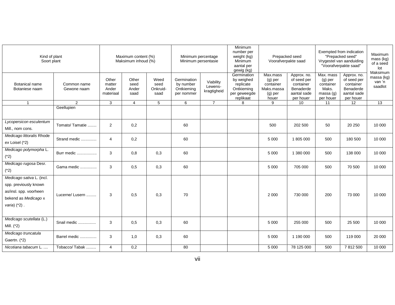| Kind of plant<br>Soort plant                                                                                            |                            | Maximum content (%)<br>Maksimum inhoud (%) |                                |                                  | Minimum percentage<br>Minimum persentasie            |                                     | Minimum<br>number per<br>Prepacked seed<br>weight (kg)<br>Minimum<br>Voorafverpakte saad<br>aantal per<br>gewig (kg) |                                                                        |                                                                                  |                                                                          | Exempted from indication<br>"Prepacked seed"<br>Vrygestel van aanduiding<br>"Voorafverpakte saad" | Maximum<br>mass (kg)<br>of a seed<br>lot<br>Maksimum |
|-------------------------------------------------------------------------------------------------------------------------|----------------------------|--------------------------------------------|--------------------------------|----------------------------------|------------------------------------------------------|-------------------------------------|----------------------------------------------------------------------------------------------------------------------|------------------------------------------------------------------------|----------------------------------------------------------------------------------|--------------------------------------------------------------------------|---------------------------------------------------------------------------------------------------|------------------------------------------------------|
| <b>Botanical name</b><br>Botaniese naam                                                                                 | Common name<br>Gewone naam | Other<br>matter<br>Ander<br>materiaal      | Other<br>seed<br>Ander<br>saad | Weed<br>seed<br>Onkruid-<br>saad | Germination<br>by number<br>Ontkieming<br>per nommer | Viability<br>Lewens-<br>kragtigheid | Germination<br>by weighed<br>replicate<br>Ontkieming<br>per geweegde<br>replikaat                                    | Max.mass<br>$(g)$ per<br>container<br>Maks.massa<br>$(g)$ per<br>houer | Approx. no.<br>of seed per<br>container<br>Benaderde<br>aantal sade<br>per houer | Max. mass<br>$(g)$ per<br>container<br>Maks.<br>massa $(q)$<br>per houer | Approx. no.<br>of seed per<br>container<br>Benaderde<br>aantal sade<br>per houer                  | massa (kg)<br>van 'n<br>saadlot                      |
| $\overline{1}$                                                                                                          | 2                          | 3                                          | 4                              | 5                                | 6                                                    | 7                                   | 8                                                                                                                    | 9                                                                      | 10 <sup>°</sup>                                                                  | 11                                                                       | 12                                                                                                | 13                                                   |
|                                                                                                                         | Geellupien                 |                                            |                                |                                  |                                                      |                                     |                                                                                                                      |                                                                        |                                                                                  |                                                                          |                                                                                                   |                                                      |
| Lycopersicon esculentum<br>Mill., nom cons.                                                                             | Tomato/ Tamatie            | 2                                          | 0,2                            |                                  | 60                                                   |                                     |                                                                                                                      | 500                                                                    | 202 500                                                                          | 50                                                                       | 20 250                                                                                            | 10 000                                               |
| Medicago littoralis Rhode<br>ex Loisel (*2)                                                                             | Strand medic               | $\overline{4}$                             | 0,2                            |                                  | 60                                                   |                                     |                                                                                                                      | 5 0 0 0                                                                | 1805000                                                                          | 500                                                                      | 180 500                                                                                           | 10 000                                               |
| Medicago polymorpha L.<br>$(*2)$                                                                                        | Burr medic                 | 3                                          | 0,8                            | 0,3                              | 60                                                   |                                     |                                                                                                                      | 5 0 0 0                                                                | 1 380 000                                                                        | 500                                                                      | 138 000                                                                                           | 10 000                                               |
| Medicago rugosa Desr.<br>$(*2)$                                                                                         | Gama medic                 | 3                                          | 0,5                            | 0,3                              | 60                                                   |                                     |                                                                                                                      | 5 0 0 0                                                                | 705 000                                                                          | 500                                                                      | 70 500                                                                                            | 10 000                                               |
| Medicago sativa L. (incl.<br>spp. previously known<br>as/insl. spp. voorheen<br>bekend as Medicago x<br>varia) $(*2)$ . | Lucerne/ Lusern            | 3                                          | 0.5                            | 0,3                              | 70                                                   |                                     |                                                                                                                      | 2 0 0 0                                                                | 730 000                                                                          | 200                                                                      | 73 000                                                                                            | 10 000                                               |
| Medicago scutellata (L.)<br>Mill. (*2)                                                                                  | Snail medic                | 3                                          | 0,5                            | 0,3                              | 60                                                   |                                     |                                                                                                                      | 5 0 0 0                                                                | 255 000                                                                          | 500                                                                      | 25 500                                                                                            | 10 000                                               |
| Medicago truncatula<br>Gaertn. (*2)                                                                                     | Barrel medic               | 3                                          | 1,0                            | 0,3                              | 60                                                   |                                     |                                                                                                                      | 5 0 0 0                                                                | 1 190 000                                                                        | 500                                                                      | 119 000                                                                                           | 20 000                                               |
| Nicotiana tabacum L.                                                                                                    | Tobacco/Tabak              | $\overline{4}$                             | 0,2                            |                                  | 80                                                   |                                     |                                                                                                                      | 5 0 0 0                                                                | 78 125 000                                                                       | 500                                                                      | 7812500                                                                                           | 10 000                                               |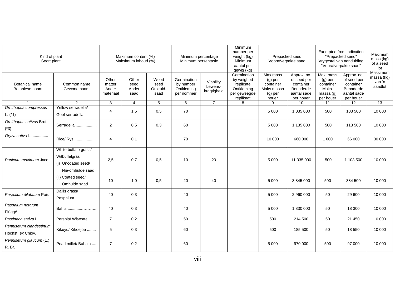| Kind of plant<br>Soort plant                 |                                                             | Maximum content (%)<br>Maksimum inhoud (%) |                                |                                  | Minimum percentage<br>Minimum persentasie            |                                     | Minimum<br>number per<br>Prepacked seed<br>weight (kg)<br>Minimum<br>Voorafverpakte saad<br>aantal per<br>gewig (kg) |                                                                      |                                                                                  | Exempted from indication<br>"Prepacked seed"<br>Vrygestel van aanduiding<br>"Voorafverpakte saad" | Maximum<br>mass (kg)<br>of a seed<br>lot<br>Maksimum                             |                                 |
|----------------------------------------------|-------------------------------------------------------------|--------------------------------------------|--------------------------------|----------------------------------|------------------------------------------------------|-------------------------------------|----------------------------------------------------------------------------------------------------------------------|----------------------------------------------------------------------|----------------------------------------------------------------------------------|---------------------------------------------------------------------------------------------------|----------------------------------------------------------------------------------|---------------------------------|
| <b>Botanical name</b><br>Botaniese naam      | Common name<br>Gewone naam                                  | Other<br>matter<br>Ander<br>materiaal      | Other<br>seed<br>Ander<br>saad | Weed<br>seed<br>Onkruid-<br>saad | Germination<br>by number<br>Ontkieming<br>per nommer | Viability<br>Lewens-<br>kragtigheid | Germination<br>by weighed<br>replicate<br>Ontkieming<br>per geweegde<br>replikaat                                    | Max.mass<br>$(g)$ per<br>container<br>Maks.massa<br>(g) per<br>houer | Approx. no.<br>of seed per<br>container<br>Benaderde<br>aantal sade<br>per houer | Max. mass<br>$(g)$ per<br>container<br>Maks.<br>massa $(q)$<br>per houer                          | Approx. no.<br>of seed per<br>container<br>Benaderde<br>aantal sade<br>per houer | massa (kg)<br>van 'n<br>saadlot |
|                                              | 2                                                           | 3                                          | $\overline{4}$                 | 5                                | 6                                                    | $\overline{7}$                      | 8                                                                                                                    | 9                                                                    | 10                                                                               | 11                                                                                                | 12                                                                               | 13                              |
| Ornithopus compressus<br>L. $(*1)$           | Yellow serradella/<br>Geel serradella                       | 4                                          | 1,5                            | 0,5                              | 70                                                   |                                     |                                                                                                                      | 5 0 0 0                                                              | 1 035 000                                                                        | 500                                                                                               | 103 500                                                                          | 10 000                          |
| Ornithopus sativus Brot.<br>$(*3)$           | Serradella                                                  | $\overline{2}$                             | 0,5                            | 0,3                              | 60                                                   |                                     |                                                                                                                      | 5 0 0 0                                                              | 1 135 000                                                                        | 500                                                                                               | 113 500                                                                          | 10 000                          |
| Oryza sativa L.                              | Rice/ Rys                                                   | $\overline{4}$                             | 0,1                            |                                  | 70                                                   |                                     |                                                                                                                      | 10 000                                                               | 660 000                                                                          | 1 0 0 0                                                                                           | 66 000                                                                           | 30 000                          |
| Panicum maximum Jacq.                        | White buffalo grass/<br>Witbuffelgras<br>(i) Uncoated seed/ | 2,5                                        | 0.7                            | 0.5                              | 10                                                   | 20                                  |                                                                                                                      | 5 0 0 0                                                              | 11 035 000                                                                       | 500                                                                                               | 1 103 500                                                                        | 10 000                          |
|                                              | Nie-omhulde saad<br>(ii) Coated seed/<br>Omhulde saad       | 10                                         | 1,0                            | 0,5                              | 20                                                   | 40                                  |                                                                                                                      | 5 0 0 0                                                              | 3 845 000                                                                        | 500                                                                                               | 384 500                                                                          | 10 000                          |
| Paspalum dilatatum Poir.                     | Dallis grass/<br>Paspalum                                   | 40                                         | 0,3                            |                                  | 40                                                   |                                     |                                                                                                                      | 5 0 0 0                                                              | 2 960 000                                                                        | 50                                                                                                | 29 600                                                                           | 10 000                          |
| Paspalum notatum<br>Flüggé                   | Bahia                                                       | 40                                         | 0,3                            |                                  | 40                                                   |                                     |                                                                                                                      | 5 0 0 0                                                              | 1830000                                                                          | 50                                                                                                | 18 300                                                                           | 10 000                          |
| Pastinaca sativa L.                          | Parsnip/ Witwortel                                          | $\overline{7}$                             | 0,2                            |                                  | 50                                                   |                                     |                                                                                                                      | 500                                                                  | 214 500                                                                          | 50                                                                                                | 21 450                                                                           | 10 000                          |
| Pennisetum clandestinum<br>Hochst. ex Chiov. | Kikuyu/ Kikoejoe                                            | 5                                          | 0,3                            |                                  | 60                                                   |                                     |                                                                                                                      | 500                                                                  | 185 500                                                                          | 50                                                                                                | 18 550                                                                           | 10 000                          |
| Pennisetum glaucum (L.)<br>R. Br.            | Pearl millet/ Babala                                        | $\overline{7}$                             | 0,2                            |                                  | 60                                                   |                                     |                                                                                                                      | 5 0 0 0                                                              | 970 000                                                                          | 500                                                                                               | 97 000                                                                           | 10 000                          |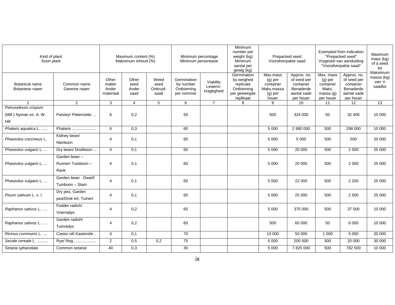| Kind of plant<br>Soort plant                            |                                           | Maximum content (%)<br>Maksimum inhoud (%) |                                |                                  | Minimum percentage<br>Minimum persentasie            |                                     | Minimum<br>number per<br>Prepacked seed<br>weight (kg)<br>Minimum<br>Voorafverpakte saad<br>aantal per<br>gewig (kg) |                                                                        |                                                                                  | Exempted from indication<br>"Prepacked seed"<br>Vrygestel van aanduiding<br>"Voorafverpakte saad" | Maximum<br>mass (kg)<br>of a seed<br>lot<br>Maksimum                             |                                 |
|---------------------------------------------------------|-------------------------------------------|--------------------------------------------|--------------------------------|----------------------------------|------------------------------------------------------|-------------------------------------|----------------------------------------------------------------------------------------------------------------------|------------------------------------------------------------------------|----------------------------------------------------------------------------------|---------------------------------------------------------------------------------------------------|----------------------------------------------------------------------------------|---------------------------------|
| Botanical name<br>Botaniese naam                        | Common name<br>Gewone naam                | Other<br>matter<br>Ander<br>materiaal      | Other<br>seed<br>Ander<br>saad | Weed<br>seed<br>Onkruid-<br>saad | Germination<br>by number<br>Ontkieming<br>per nommer | Viability<br>Lewens-<br>kragtigheid | Germination<br>by weighed<br>replicate<br>Ontkieming<br>per geweegde<br>replikaat                                    | Max.mass<br>$(g)$ per<br>container<br>Maks.massa<br>$(g)$ per<br>houer | Approx. no.<br>of seed per<br>container<br>Benaderde<br>aantal sade<br>per houer | Max. mass<br>$(g)$ per<br>container<br>Maks.<br>massa $(q)$<br>per houer                          | Approx. no.<br>of seed per<br>container<br>Benaderde<br>aantal sade<br>per houer | massa (kg)<br>van 'n<br>saadlot |
|                                                         | 2                                         | 3                                          | $\overline{4}$                 | 5                                | 6                                                    | $\overline{7}$                      | 8                                                                                                                    | 9                                                                      | 10 <sup>°</sup>                                                                  | 11                                                                                                | 12                                                                               | 13                              |
| Petroselinum crispum<br>(Mill.) Nyman ex. A. W.<br>Hill | Parsley/ Pietersielie                     | 6                                          | 0,2                            |                                  | 50                                                   |                                     |                                                                                                                      | 500                                                                    | 324 000                                                                          | 50                                                                                                | 32 400                                                                           | 10 000                          |
| Phalaris aquatica L.                                    | Phalaris                                  | 6                                          | 0,3                            |                                  | 60                                                   |                                     |                                                                                                                      | 5 0 0 0                                                                | 2 980 000                                                                        | 500                                                                                               | 298 000                                                                          | 10 000                          |
| Phaseolus coccineus L.                                  | Kidney bean/<br>Nierboon                  | 4                                          | 0,1                            |                                  | 60                                                   |                                     |                                                                                                                      | 5 0 0 0                                                                | 5 0 0 0                                                                          | 500                                                                                               | 500                                                                              | 20 000                          |
| Phaseolus vulgaris L.                                   | Dry bean/ Droëboon                        | $\overline{4}$                             | 0,1                            |                                  | 60                                                   |                                     |                                                                                                                      | 5 0 0 0                                                                | 20 000                                                                           | 500                                                                                               | 2 0 0 0                                                                          | 25 000                          |
| Phaseolus vulgaris L.                                   | Garden bean -<br>Runner/Tuinboon-<br>Rank | 4                                          | 0,1                            |                                  | 60                                                   |                                     |                                                                                                                      | 5 0 0 0                                                                | 20 000                                                                           | 500                                                                                               | 2 0 0 0                                                                          | 25 000                          |
| Phaseolus vulgaris L.                                   | Garden bean - Dwarf/<br>Tuinboon - Stam   | 4                                          | 0,1                            |                                  | 60                                                   |                                     |                                                                                                                      | 5 0 0 0                                                                | 22 000                                                                           | 500                                                                                               | 2 2 0 0                                                                          | 25 000                          |
| Pisum sativum L. s. I.                                  | Dry pea, Garden<br>pea/Droë ert, Tuinert  | 4                                          | 0,1                            |                                  | 60                                                   |                                     |                                                                                                                      | 5 0 0 0                                                                | 25 000                                                                           | 500                                                                                               | 2 500                                                                            | 25 000                          |
| Raphanus sativus L.                                     | Fodder radish/<br>Voerradys               | $\overline{4}$                             | 0,2                            |                                  | 60                                                   |                                     |                                                                                                                      | 5 0 0 0                                                                | 375 000                                                                          | 500                                                                                               | 37 500                                                                           | 10 000                          |
| Raphanus sativus L.                                     | Garden radish/<br>Tuinradys               | 4                                          | 0,2                            |                                  | 60                                                   |                                     |                                                                                                                      | 500                                                                    | 60 000                                                                           | 50                                                                                                | 6 0 0 0                                                                          | 10 000                          |
| Ricinus communis L.                                     | Castor oil/ Kasterolie                    | $\overline{4}$                             | 0,1                            |                                  | $\overline{70}$                                      |                                     |                                                                                                                      | 10 000                                                                 | 50 000                                                                           | 1 0 0 0                                                                                           | 5 0 0 0                                                                          | 20 000                          |
| Secale cereale L.                                       | Rye/ Rog                                  | 2                                          | 0,5                            | 0,2                              | 75                                                   |                                     |                                                                                                                      | 5 0 0 0                                                                | 200 000                                                                          | 500                                                                                               | 20 000                                                                           | 30 000                          |
| Setaria sphacelata                                      | Common setaria/                           | 40                                         | 0,3                            |                                  | 30                                                   |                                     |                                                                                                                      | 5 0 0 0                                                                | 7 825 000                                                                        | 500                                                                                               | 782 500                                                                          | 10 000                          |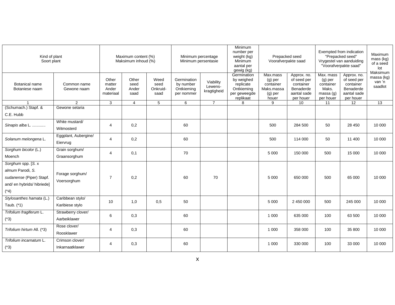| Kind of plant<br>Soort plant                                                                               |                                     | Maximum content (%)<br>Maksimum inhoud (%) |                                | Minimum percentage<br>Minimum persentasie |                                                      | Minimum<br>number per<br>weight (kg)<br>Minimum<br>aantal per<br>gewig (kg) | Prepacked seed<br>Voorafverpakte saad                                             |                                                                      | Exempted from indication<br>"Prepacked seed"<br>Vrygestel van aanduiding<br>"Voorafverpakte saad" |                                                                          | Maximum<br>mass (kg)<br>of a seed<br>lot<br>Maksimum                             |                                 |
|------------------------------------------------------------------------------------------------------------|-------------------------------------|--------------------------------------------|--------------------------------|-------------------------------------------|------------------------------------------------------|-----------------------------------------------------------------------------|-----------------------------------------------------------------------------------|----------------------------------------------------------------------|---------------------------------------------------------------------------------------------------|--------------------------------------------------------------------------|----------------------------------------------------------------------------------|---------------------------------|
| <b>Botanical name</b><br>Botaniese naam                                                                    | Common name<br>Gewone naam          | Other<br>matter<br>Ander<br>materiaal      | Other<br>seed<br>Ander<br>saad | Weed<br>seed<br>Onkruid-<br>saad          | Germination<br>by number<br>Ontkieming<br>per nommer | Viability<br>Lewens-<br>kragtigheid                                         | Germination<br>by weighed<br>replicate<br>Ontkieming<br>per geweegde<br>replikaat | Max.mass<br>$(g)$ per<br>container<br>Maks.massa<br>(g) per<br>houer | Approx. no.<br>of seed per<br>container<br>Benaderde<br>aantal sade<br>per houer                  | Max. mass<br>$(g)$ per<br>container<br>Maks.<br>massa $(q)$<br>per houer | Approx. no.<br>of seed per<br>container<br>Benaderde<br>aantal sade<br>per houer | massa (kg)<br>van 'n<br>saadlot |
|                                                                                                            | $\overline{2}$                      | 3                                          | 4                              | 5                                         | 6                                                    | $\overline{7}$                                                              | 8                                                                                 | 9                                                                    | 10                                                                                                | 11                                                                       | 12                                                                               | 13                              |
| (Schumach.) Stapf. &<br>C.E. Hubb                                                                          | Gewone setaria                      |                                            |                                |                                           |                                                      |                                                                             |                                                                                   |                                                                      |                                                                                                   |                                                                          |                                                                                  |                                 |
| Sinapis alba L.                                                                                            | White mustard/<br>Witmosterd        | $\overline{4}$                             | 0,2                            |                                           | 60                                                   |                                                                             |                                                                                   | 500                                                                  | 284 500                                                                                           | 50                                                                       | 28 450                                                                           | 10 000                          |
| Solanum melongena L.                                                                                       | Eggplant, Aubergine/<br>Eiervrug    | 4                                          | 0,2                            |                                           | 60                                                   |                                                                             |                                                                                   | 500                                                                  | 114 000                                                                                           | 50                                                                       | 11 400                                                                           | 10 000                          |
| Sorghum bicolor (L.)<br>Moench                                                                             | Grain sorghum/<br>Graansorghum      | $\overline{4}$                             | 0,1                            |                                           | 70                                                   |                                                                             |                                                                                   | 5 0 0 0                                                              | 150 000                                                                                           | 500                                                                      | 15 000                                                                           | 10 000                          |
| Sorghum spp. [S. x<br>almum Parodi, S.<br>sudanense (Piper) Stapf.<br>and/ en hybrids/ hibriede]<br>$(*4)$ | Forage sorghum/<br>Voersorghum      | $\overline{7}$                             | 0,2                            |                                           | 60                                                   | 70                                                                          |                                                                                   | 5 0 0 0                                                              | 650 000                                                                                           | 500                                                                      | 65 000                                                                           | 10 000                          |
| Stylosanthes hamata (L.)<br>Taub. (*1)                                                                     | Caribbean stylo/<br>Karibiese stylo | 10                                         | 1,0                            | 0,5                                       | 50                                                   |                                                                             |                                                                                   | 5 0 0 0                                                              | 2 450 000                                                                                         | 500                                                                      | 245 000                                                                          | 10 000                          |
| Trifolium fragiferum L.<br>$(*3)$                                                                          | Strawberry clover/<br>Aarbeiklawer  | 6                                          | 0,3                            |                                           | 60                                                   |                                                                             |                                                                                   | 1 0 0 0                                                              | 635 000                                                                                           | 100                                                                      | 63 500                                                                           | 10 000                          |
| Trifolium hirtum All. (*3)                                                                                 | Rose clover/<br>Roosklawer          | 4                                          | 0,3                            |                                           | 60                                                   |                                                                             |                                                                                   | 1 0 0 0                                                              | 358 000                                                                                           | 100                                                                      | 35 800                                                                           | 10 000                          |
| Trifolium incarnatum L.<br>$(*3)$                                                                          | Crimson clover/<br>Inkarnaatklawer  | 4                                          | 0,3                            |                                           | 60                                                   |                                                                             |                                                                                   | 1 0 0 0                                                              | 330 000                                                                                           | 100                                                                      | 33 000                                                                           | 10 000                          |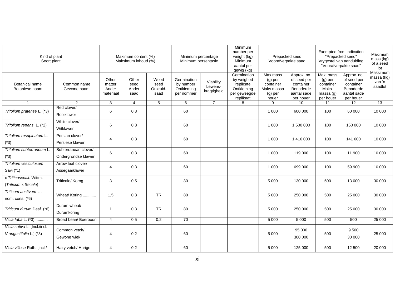| Kind of plant<br>Soort plant                            |                                             | Maximum content (%)<br>Maksimum inhoud (%) |                                | Minimum percentage<br>Minimum persentasie |                                                      | Minimum<br>number per<br>weight (kg)<br>Minimum<br>aantal per<br>gewig (kg) | Prepacked seed<br>Voorafverpakte saad                                             |                                                                        | Exempted from indication<br>"Prepacked seed"<br>Vrygestel van aanduiding<br>"Voorafverpakte saad" |                                                                       | Maximum<br>mass (kg)<br>of a seed<br>lot                                         |                                             |
|---------------------------------------------------------|---------------------------------------------|--------------------------------------------|--------------------------------|-------------------------------------------|------------------------------------------------------|-----------------------------------------------------------------------------|-----------------------------------------------------------------------------------|------------------------------------------------------------------------|---------------------------------------------------------------------------------------------------|-----------------------------------------------------------------------|----------------------------------------------------------------------------------|---------------------------------------------|
| <b>Botanical name</b><br>Botaniese naam                 | Common name<br>Gewone naam                  | Other<br>matter<br>Ander<br>materiaal      | Other<br>seed<br>Ander<br>saad | Weed<br>seed<br>Onkruid-<br>saad          | Germination<br>by number<br>Ontkieming<br>per nommer | Viability<br>Lewens-<br>kragtigheid                                         | Germination<br>by weighed<br>replicate<br>Ontkieming<br>per geweegde<br>replikaat | Max.mass<br>$(g)$ per<br>container<br>Maks.massa<br>$(g)$ per<br>houer | Approx. no.<br>of seed per<br>container<br>Benaderde<br>aantal sade<br>per houer                  | Max. mass<br>$(g)$ per<br>container<br>Maks.<br>massa(q)<br>per houer | Approx. no.<br>of seed per<br>container<br>Benaderde<br>aantal sade<br>per houer | Maksimum<br>massa (kg)<br>van 'n<br>saadlot |
| $\overline{\mathbf{1}}$                                 | 2                                           | 3                                          | $\overline{4}$                 | 5                                         | 6                                                    | $\overline{7}$                                                              | 8                                                                                 | 9                                                                      | 10                                                                                                | 11                                                                    | 12                                                                               | 13                                          |
| Trifolium pratense L. (*3)                              | Red clover/<br>Rooiklawer                   | 6                                          | 0,3                            |                                           | 60                                                   |                                                                             |                                                                                   | 1 0 0 0                                                                | 600 000                                                                                           | 100                                                                   | 60 000                                                                           | 10 000                                      |
| Trifolium repens L. (*2)                                | White clover/<br>Witklawer                  | 6                                          | 0,3                            |                                           | 60                                                   |                                                                             |                                                                                   | 1 0 0 0                                                                | 1 500 000                                                                                         | 100                                                                   | 150 000                                                                          | 10 000                                      |
| Trifolium resupinatum L.<br>$(*3)$                      | Persian clover/<br>Persiese klawer          | 4                                          | 0,3                            |                                           | 60                                                   |                                                                             |                                                                                   | 1 0 0 0                                                                | 1416000                                                                                           | 100                                                                   | 141 600                                                                          | 10 000                                      |
| Trifolium subterraneum L.<br>$(*3)$                     | Subterranean clover/<br>Ondergrondse klawer | 6                                          | 0,3                            |                                           | 60                                                   |                                                                             |                                                                                   | 1 0 0 0                                                                | 119 000                                                                                           | 100                                                                   | 11 900                                                                           | 10 000                                      |
| Trifolium vesiculosum<br>Savi (*1)                      | Arrow leaf clover/<br>Assegaaiklawer        | 4                                          | 0,3                            |                                           | 60                                                   |                                                                             |                                                                                   | 1 0 0 0                                                                | 699 000                                                                                           | 100                                                                   | 59 900                                                                           | 10 000                                      |
| x Triticosecale Wittm.<br>(Triticum x Secale)           | Triticale/Korog                             | 3                                          | 0,5                            |                                           | 80                                                   |                                                                             |                                                                                   | 5 0 0 0                                                                | 130 000                                                                                           | 500                                                                   | 13 000                                                                           | 30 000                                      |
| Triticum aestivum L.,<br>nom. cons. (*6)                | Wheat/ Koring                               | 1,5                                        | 0,3                            | <b>TR</b>                                 | 80                                                   |                                                                             |                                                                                   | 5 0 0 0                                                                | 250 000                                                                                           | 500                                                                   | 25 000                                                                           | 30 000                                      |
| Triticum durum Desf. (*6)                               | Durum wheat/<br>Durumkoring                 | $\mathbf{1}$                               | 0,3                            | <b>TR</b>                                 | 80                                                   |                                                                             |                                                                                   | 5 0 0 0                                                                | 250 000                                                                                           | 500                                                                   | 25 000                                                                           | 30 000                                      |
| Vicia faba L. (*3)                                      | Broad bean/Boerboon                         | $\overline{4}$                             | 0,5                            | 0,2                                       | 70                                                   |                                                                             |                                                                                   | 5 0 0 0                                                                | 5 0 0 0                                                                                           | 500                                                                   | 500                                                                              | 25 000                                      |
| Vicia sativa L. [Incl./insl.<br>V angustifolia L.] (*3) | Common vetch/<br>Gewone wiek                | 4                                          | 0,2                            |                                           | 60                                                   |                                                                             |                                                                                   | 5 0 0 0                                                                | 95 000<br>300 000                                                                                 | 500                                                                   | 9 500<br>30 000                                                                  | 25 000                                      |
| Vicia villosa Roth. [incl./                             | Hairy vetch/ Harige                         | 4                                          | 0,2                            |                                           | 60                                                   |                                                                             |                                                                                   | 5 0 0 0                                                                | 125 000                                                                                           | 500                                                                   | 12 500                                                                           | 20 000                                      |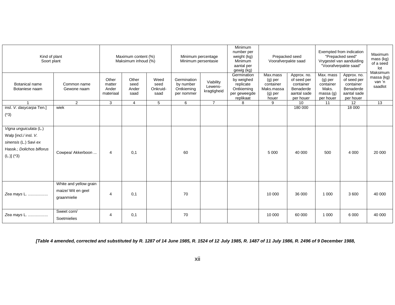| Kind of plant<br>Soort plant                                                                                          |                                                             | Maximum content (%)<br>Maksimum inhoud (%) |                                |                                  | Minimum percentage<br>Minimum persentasie            |                                     | Minimum<br>number per<br>weight (kg)<br>Minimum<br>aantal per<br>gewig (kg)       | Prepacked seed<br>Voorafverpakte saad                                  |                                                                                  | Exempted from indication<br>"Prepacked seed"<br>Vrygestel van aanduiding<br>"Voorafverpakte saad" |                                                                                  | Maximum<br>mass (kg)<br>of a seed<br>lot    |
|-----------------------------------------------------------------------------------------------------------------------|-------------------------------------------------------------|--------------------------------------------|--------------------------------|----------------------------------|------------------------------------------------------|-------------------------------------|-----------------------------------------------------------------------------------|------------------------------------------------------------------------|----------------------------------------------------------------------------------|---------------------------------------------------------------------------------------------------|----------------------------------------------------------------------------------|---------------------------------------------|
| Botanical name<br>Botaniese naam                                                                                      | Common name<br>Gewone naam                                  | Other<br>matter<br>Ander<br>materiaal      | Other<br>seed<br>Ander<br>saad | Weed<br>seed<br>Onkruid-<br>saad | Germination<br>by number<br>Ontkieming<br>per nommer | Viability<br>Lewens-<br>kragtigheid | Germination<br>by weighed<br>replicate<br>Ontkieming<br>per geweegde<br>replikaat | Max.mass<br>$(g)$ per<br>container<br>Maks.massa<br>$(g)$ per<br>houer | Approx. no.<br>of seed per<br>container<br>Benaderde<br>aantal sade<br>per houer | Max. mass<br>$(g)$ per<br>container<br>Maks.<br>massa(q)<br>per houer                             | Approx. no.<br>of seed per<br>container<br>Benaderde<br>aantal sade<br>per houer | Maksimum<br>massa (kg)<br>van 'n<br>saadlot |
|                                                                                                                       | $\overline{2}$                                              | 3                                          | $\overline{4}$                 | 5                                | 6                                                    | $\overline{7}$                      | 8                                                                                 | 9                                                                      | $\overline{10}$                                                                  | 11                                                                                                | $\overline{12}$                                                                  | $\overline{13}$                             |
| insl. V. dasycarpa Ten.]<br>$(*3)$                                                                                    | wiek                                                        |                                            |                                |                                  |                                                      |                                     |                                                                                   |                                                                        | 180 000                                                                          |                                                                                                   | 18 000                                                                           |                                             |
| Vigna unguiculata (L.)<br>Walp [incl./ insl. V.<br>sinensis (L.) Savi ex<br>Hassk.; Dolichos biflorus<br>$(L.)]$ (*3) | Cowpea/ Akkerboon                                           | $\overline{4}$                             | 0,1                            |                                  | 60                                                   |                                     |                                                                                   | 5 0 0 0                                                                | 40 000                                                                           | 500                                                                                               | 4 0 0 0                                                                          | 20 000                                      |
| Zea mays L.                                                                                                           | White and yellow grain<br>maize/ Wit en geel<br>graanmielie | 4                                          | 0,1                            |                                  | 70                                                   |                                     |                                                                                   | 10 000                                                                 | 36 000                                                                           | 1 0 0 0                                                                                           | 3 600                                                                            | 40 000                                      |
| Zea mays L.                                                                                                           | Sweet corn/<br>Soetmielies                                  | 4                                          | 0,1                            |                                  | 70                                                   |                                     |                                                                                   | 10 000                                                                 | 60 000                                                                           | 1 0 0 0                                                                                           | 6 0 0 0                                                                          | 40 000                                      |

*[Table 4 amended, corrected and substituted by R. 1287 of 14 June 1985, R. 1524 of 12 July 1985, R. 1487 of 11 July 1986, R. 2496 of 9 December 1988,*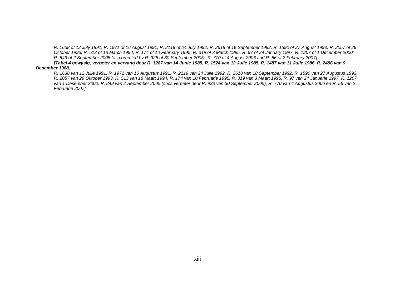*R. 1638 of 12 July 1991, R. 1971 of 16 August 1991, R. 2119 of 24 July 1992, R. 2618 of 18 September 1992, R. 1590 of 27 August 1993, R. 2057 of 29 October 1993, R. 513 of 18 March 1994, R. 174 of 10 February 1995, R. 319 of 3 March 1995, R. 97 of 24 January 1997, R. 1207 of 1 December 2000; R. 849 of 2 September 2005 (as corrected by R. 928 of 30 September 2005, R. 770 of 4 August 2006 and R. 56 of 2 February 2007]*

*[Tabel 4 gewysig, verbeter en vervang deur R. 1287 van 14 Junie 1985, R. 1524 van 12 Julie 1985, R. 1487 van 11 Julie 1986, R. 2496 van 9 Desember 1988,*

*R. 1638 van 12 Julie 1991, R. 1971 van 16 Augustus 1991, R. 2119 van 24 Julie 1992, R. 2618 van 18 September 1992, R. 1590 van 27 Augustus 1993, R. 2057 van 29 Oktober 1993, R. 513 van 18 Maart 1994, R. 174 van 10 Februarie 1995, R. 319 van 3 Maart 1995, R. 97 van 24 Januarie 1997, R. 1207 van 1 Desember 2000; R. 849 van 2 September 2005 (soos verbeter deur R. 928 van 30 September 2005), R. 770 van 4 Augustus 2006 en R. 56 van 2 Februarie 2007]*